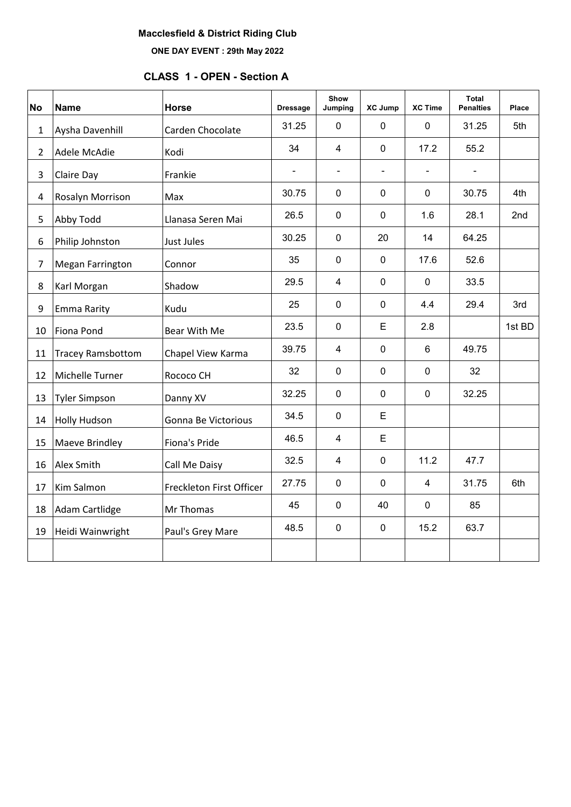# **Macclesfield & District Riding Club**

**ONE DAY EVENT : 29th May 2022**

# **CLASS 1 - OPEN - Section A**

| <b>No</b>      | <b>Name</b>              | <b>Horse</b>             | <b>Dressage</b> | Show<br>Jumping | <b>XC Jump</b> | <b>XC Time</b> | Total<br><b>Penalties</b> | Place  |
|----------------|--------------------------|--------------------------|-----------------|-----------------|----------------|----------------|---------------------------|--------|
| $\mathbf{1}$   | Aysha Davenhill          | Carden Chocolate         | 31.25           | $\mathbf 0$     | $\mathbf 0$    | $\mathbf 0$    | 31.25                     | 5th    |
| $\overline{2}$ | Adele McAdie             | Kodi                     | 34              | $\overline{4}$  | $\mathbf 0$    | 17.2           | 55.2                      |        |
| $\overline{3}$ | Claire Day               | Frankie                  | $\blacksquare$  | $\blacksquare$  |                | ÷,             |                           |        |
| $\overline{4}$ | Rosalyn Morrison         | Max                      | 30.75           | $\mathbf 0$     | $\mathbf 0$    | $\mathbf 0$    | 30.75                     | 4th    |
| 5              | Abby Todd                | Llanasa Seren Mai        | 26.5            | $\pmb{0}$       | $\mathbf 0$    | 1.6            | 28.1                      | 2nd    |
| 6              | Philip Johnston          | Just Jules               | 30.25           | $\mathbf 0$     | 20             | 14             | 64.25                     |        |
| $\overline{7}$ | <b>Megan Farrington</b>  | Connor                   | 35              | $\mathbf 0$     | $\mathbf 0$    | 17.6           | 52.6                      |        |
| 8              | Karl Morgan              | Shadow                   | 29.5            | $\overline{4}$  | $\mathbf 0$    | $\mathbf 0$    | 33.5                      |        |
| 9              | Emma Rarity              | Kudu                     | 25              | $\mathbf 0$     | $\mathbf 0$    | 4.4            | 29.4                      | 3rd    |
| 10             | Fiona Pond               | Bear With Me             | 23.5            | $\mathbf 0$     | E              | 2.8            |                           | 1st BD |
| 11             | <b>Tracey Ramsbottom</b> | Chapel View Karma        | 39.75           | $\overline{4}$  | $\pmb{0}$      | $6\phantom{1}$ | 49.75                     |        |
| 12             | Michelle Turner          | Rococo CH                | 32              | $\mathbf 0$     | $\pmb{0}$      | $\mathbf 0$    | 32                        |        |
| 13             | <b>Tyler Simpson</b>     | Danny XV                 | 32.25           | $\pmb{0}$       | $\pmb{0}$      | $\mathbf 0$    | 32.25                     |        |
| 14             | <b>Holly Hudson</b>      | Gonna Be Victorious      | 34.5            | $\mathbf 0$     | E              |                |                           |        |
| 15             | Maeve Brindley           | Fiona's Pride            | 46.5            | $\overline{4}$  | E              |                |                           |        |
| 16             | Alex Smith               | Call Me Daisy            | 32.5            | $\overline{4}$  | $\mathbf 0$    | 11.2           | 47.7                      |        |
| 17             | Kim Salmon               | Freckleton First Officer | 27.75           | $\mathbf 0$     | $\mathbf 0$    | $\overline{4}$ | 31.75                     | 6th    |
| 18             | Adam Cartlidge           | Mr Thomas                | 45              | $\mathbf 0$     | 40             | $\mathbf 0$    | 85                        |        |
| 19             | Heidi Wainwright         | Paul's Grey Mare         | 48.5            | $\pmb{0}$       | $\pmb{0}$      | 15.2           | 63.7                      |        |
|                |                          |                          |                 |                 |                |                |                           |        |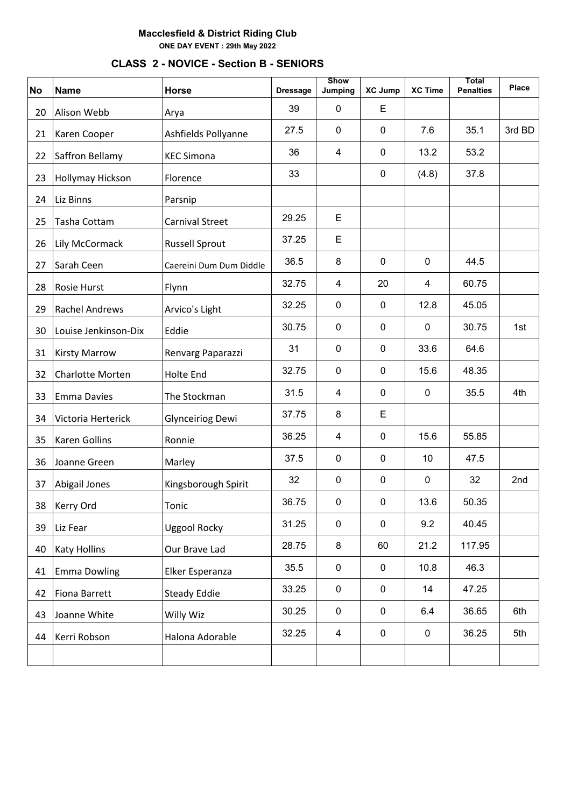# **CLASS 2 - NOVICE - Section B - SENIORS**

| <b>No</b> | <b>Name</b>             | <b>Horse</b>            | <b>Dressage</b> | <b>Show</b><br>Jumping  | <b>XC Jump</b> | <b>XC Time</b> | <b>Total</b><br><b>Penalties</b> | Place  |
|-----------|-------------------------|-------------------------|-----------------|-------------------------|----------------|----------------|----------------------------------|--------|
| 20        | Alison Webb             | Arya                    | 39              | $\mathbf 0$             | Е              |                |                                  |        |
| 21        | Karen Cooper            | Ashfields Pollyanne     | 27.5            | $\mathbf 0$             | 0              | 7.6            | 35.1                             | 3rd BD |
| 22        | Saffron Bellamy         | <b>KEC Simona</b>       | 36              | $\overline{\mathbf{4}}$ | $\pmb{0}$      | 13.2           | 53.2                             |        |
| 23        | Hollymay Hickson        | Florence                | 33              |                         | 0              | (4.8)          | 37.8                             |        |
| 24        | Liz Binns               | Parsnip                 |                 |                         |                |                |                                  |        |
| 25        | Tasha Cottam            | <b>Carnival Street</b>  | 29.25           | E                       |                |                |                                  |        |
| 26        | Lily McCormack          | <b>Russell Sprout</b>   | 37.25           | E                       |                |                |                                  |        |
| 27        | Sarah Ceen              | Caereini Dum Dum Diddle | 36.5            | 8                       | $\mathbf 0$    | $\mathbf 0$    | 44.5                             |        |
| 28        | Rosie Hurst             | Flynn                   | 32.75           | $\overline{\mathbf{4}}$ | 20             | 4              | 60.75                            |        |
| 29        | <b>Rachel Andrews</b>   | Arvico's Light          | 32.25           | $\mathbf 0$             | $\mathbf 0$    | 12.8           | 45.05                            |        |
| 30        | Louise Jenkinson-Dix    | Eddie                   | 30.75           | $\mathbf 0$             | $\mathbf 0$    | 0              | 30.75                            | 1st    |
| 31        | <b>Kirsty Marrow</b>    | Renvarg Paparazzi       | 31              | $\mathbf 0$             | 0              | 33.6           | 64.6                             |        |
| 32        | <b>Charlotte Morten</b> | <b>Holte End</b>        | 32.75           | $\mathbf 0$             | $\mathbf 0$    | 15.6           | 48.35                            |        |
| 33        | <b>Emma Davies</b>      | The Stockman            | 31.5            | $\overline{\mathbf{4}}$ | $\pmb{0}$      | $\mathbf 0$    | 35.5                             | 4th    |
| 34        | Victoria Herterick      | Glynceiriog Dewi        | 37.75           | 8                       | Е              |                |                                  |        |
| 35        | Karen Gollins           | Ronnie                  | 36.25           | $\overline{\mathbf{4}}$ | $\mathbf 0$    | 15.6           | 55.85                            |        |
| 36        | Joanne Green            | Marley                  | 37.5            | $\pmb{0}$               | $\mathbf 0$    | 10             | 47.5                             |        |
| 37        | Abigail Jones           | Kingsborough Spirit     | 32              | $\mathbf 0$             | $\pmb{0}$      | $\mathbf 0$    | 32                               | 2nd    |
| 38        | Kerry Ord               | Tonic                   | 36.75           | $\pmb{0}$               | 0              | 13.6           | 50.35                            |        |
| 39        | Liz Fear                | <b>Uggool Rocky</b>     | 31.25           | $\pmb{0}$               | 0              | 9.2            | 40.45                            |        |
| 40        | <b>Katy Hollins</b>     | Our Brave Lad           | 28.75           | 8                       | 60             | 21.2           | 117.95                           |        |
| 41        | <b>Emma Dowling</b>     | Elker Esperanza         | 35.5            | $\pmb{0}$               | $\mathbf 0$    | 10.8           | 46.3                             |        |
| 42        | Fiona Barrett           | <b>Steady Eddie</b>     | 33.25           | $\pmb{0}$               | $\pmb{0}$      | 14             | 47.25                            |        |
| 43        | Joanne White            | Willy Wiz               | 30.25           | $\mathbf 0$             | 0              | 6.4            | 36.65                            | 6th    |
| 44        | Kerri Robson            | Halona Adorable         | 32.25           | $\overline{4}$          | $\mathbf 0$    | $\mathbf 0$    | 36.25                            | 5th    |
|           |                         |                         |                 |                         |                |                |                                  |        |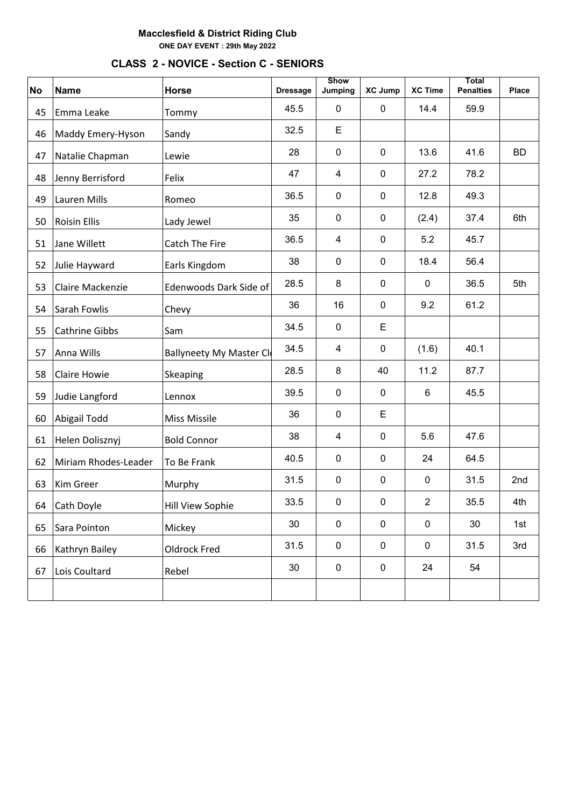# **CLASS 2 - NOVICE - Section C - SENIORS No Name Horse Dressage Show**<br>**Jumping Jumping XC Jump XC Time Penalties Place** 45 Emma Leake Tommy 145.5 0 0 14.4 59.9 46 Maddy Emery-Hyson Sandy  $\begin{array}{|l|c|c|c|c|}\n\hline\n32.5 & E \\
\hline\n\end{array}$ 47 Natalie Chapman Lewie | 28 | 0 | 0 | 13.6 | 41.6 | BD 48 Jenny Berrisford Felix | 47 | 4 | 0 | 27.2 | 78.2 49 Lauren Mills Romeo | 36.5 | 0 | 0 | 12.8 | 49.3 50 Roisin Ellis Lady Jewel <sup>35</sup> <sup>0</sup> <sup>0</sup> (2.4) 37.4 6th

**Total** 

| Jane Willett         | <b>Catch The Fire</b>  | 36.5 | 4                               | $\mathbf 0$ | 5.2            | 45.7 |     |
|----------------------|------------------------|------|---------------------------------|-------------|----------------|------|-----|
| Julie Hayward        | Earls Kingdom          | 38   | $\mathbf 0$                     | 0           | 18.4           | 56.4 |     |
| Claire Mackenzie     | Edenwoods Dark Side of | 28.5 | 8                               | $\mathbf 0$ | $\mathbf 0$    | 36.5 | 5th |
| Sarah Fowlis         | Chevy                  | 36   | 16                              | 0           | 9.2            | 61.2 |     |
| Cathrine Gibbs       | Sam                    | 34.5 | $\mathbf 0$                     | E           |                |      |     |
| Anna Wills           |                        | 34.5 | 4                               | 0           | (1.6)          | 40.1 |     |
| <b>Claire Howie</b>  | Skeaping               | 28.5 | 8                               | 40          | 11.2           | 87.7 |     |
| Judie Langford       | Lennox                 | 39.5 | $\mathbf 0$                     | $\mathbf 0$ | 6              | 45.5 |     |
| Abigail Todd         | <b>Miss Missile</b>    | 36   | $\mathbf 0$                     | E           |                |      |     |
| Helen Dolisznyj      | <b>Bold Connor</b>     | 38   | 4                               | 0           | 5.6            | 47.6 |     |
| Miriam Rhodes-Leader | To Be Frank            | 40.5 | $\mathbf 0$                     | $\mathbf 0$ | 24             | 64.5 |     |
| Kim Greer            | Murphy                 | 31.5 | $\mathbf 0$                     | $\mathbf 0$ | 0              | 31.5 | 2nd |
| Cath Doyle           | Hill View Sophie       | 33.5 | $\mathbf 0$                     | $\mathbf 0$ | $\overline{2}$ | 35.5 | 4th |
| Sara Pointon         | Mickey                 | 30   | $\mathbf 0$                     | 0           | 0              | 30   | 1st |
| Kathryn Bailey       | Oldrock Fred           | 31.5 | $\mathbf 0$                     | $\mathbf 0$ | 0              | 31.5 | 3rd |
| Lois Coultard        | Rebel                  | 30   | $\mathbf 0$                     | $\mathbf 0$ | 24             | 54   |     |
|                      |                        |      |                                 |             |                |      |     |
|                      |                        |      | <b>Ballyneety My Master Cli</b> |             |                |      |     |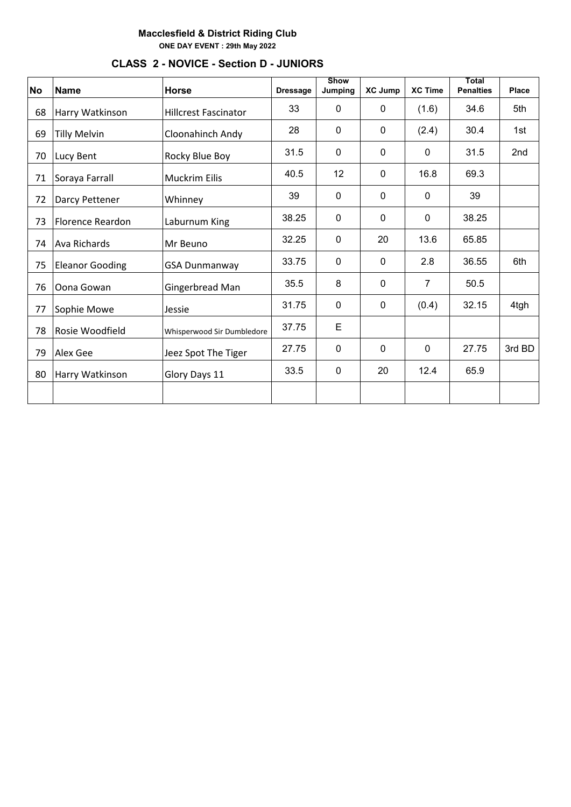| <b>No</b> | <b>Name</b>             | <b>Horse</b>                | <b>Dressage</b> | <b>Show</b><br>Jumping | <b>XC Jump</b> | <b>XC Time</b> | Total<br><b>Penalties</b> | Place  |
|-----------|-------------------------|-----------------------------|-----------------|------------------------|----------------|----------------|---------------------------|--------|
| 68        | Harry Watkinson         | <b>Hillcrest Fascinator</b> | 33              | 0                      | 0              | (1.6)          | 34.6                      | 5th    |
| 69        | <b>Tilly Melvin</b>     | Cloonahinch Andy            | 28              | $\mathbf{0}$           | $\mathbf{0}$   | (2.4)          | 30.4                      | 1st    |
| 70        | Lucy Bent               | Rocky Blue Boy              | 31.5            | $\mathbf 0$            | $\mathbf 0$    | $\mathbf 0$    | 31.5                      | 2nd    |
| 71        | Soraya Farrall          | <b>Muckrim Eilis</b>        | 40.5            | 12                     | $\mathbf{0}$   | 16.8           | 69.3                      |        |
| 72        | Darcy Pettener          | Whinney                     | 39              | 0                      | $\mathbf 0$    | 0              | 39                        |        |
| 73        | <b>Florence Reardon</b> | Laburnum King               | 38.25           | $\mathbf 0$            | $\mathbf{0}$   | $\mathbf{0}$   | 38.25                     |        |
| 74        | Ava Richards            | Mr Beuno                    | 32.25           | 0                      | 20             | 13.6           | 65.85                     |        |
| 75        | <b>Eleanor Gooding</b>  | <b>GSA Dunmanway</b>        | 33.75           | $\mathbf 0$            | $\mathbf{0}$   | 2.8            | 36.55                     | 6th    |
| 76        | Oona Gowan              | Gingerbread Man             | 35.5            | 8                      | $\mathbf{0}$   | 7              | 50.5                      |        |
| 77        | Sophie Mowe             | Jessie                      | 31.75           | $\mathbf 0$            | $\mathbf 0$    | (0.4)          | 32.15                     | 4tgh   |
| 78        | Rosie Woodfield         | Whisperwood Sir Dumbledore  | 37.75           | E                      |                |                |                           |        |
| 79        | Alex Gee                | Jeez Spot The Tiger         | 27.75           | $\mathbf{0}$           | $\mathbf{0}$   | $\mathbf{0}$   | 27.75                     | 3rd BD |
| 80        | Harry Watkinson         | Glory Days 11               | 33.5            | $\mathbf 0$            | 20             | 12.4           | 65.9                      |        |
|           |                         |                             |                 |                        |                |                |                           |        |

# **CLASS 2 - NOVICE - Section D - JUNIORS**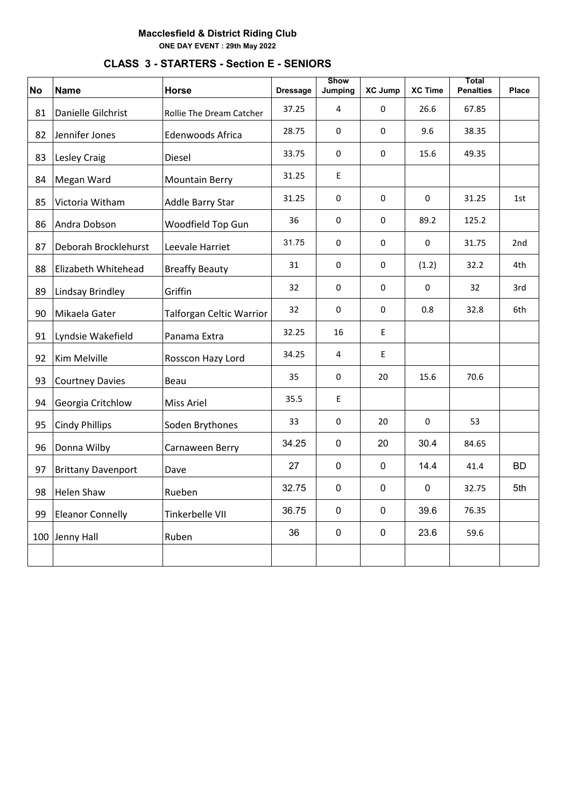# **No Name Horse Dressage Show Jumping XC Jump XC Time Total Penalties Place** 81 Danielle Gilchrist Rollie The Dream Catcher 37.25 4 0 26.6 67.85 82 Jennifer Jones = Edenwoods Africa =  $\begin{array}{|c|c|c|c|c|c|c|c|c|c|} \hline 82 & 0 & 0 & 9.6 & 38.35 \ \hline \end{array}$ 83 Lesley Craig Diesel 33.75 <sup>0</sup> <sup>0</sup> 15.6 49.35 84 Megan Ward Mountain Berry 31.25 E 85 Victoria Witham Addle Barry Star | 31.25 | 0 | 0 | 0 | 31.25 | 1st 86 Andra Dobson Woodfield Top Gun 36 0 0 89.2 125.2 87 Deborah Brocklehurst Leevale Harriet | 31.75 | 0 | 0 | 0 | 31.75 | 2nd 88 Elizabeth Whitehead Breaffy Beauty <sup>31</sup> <sup>0</sup> <sup>0</sup> (1.2) 32.2 4th 89 Lindsay Brindley Griffin | 32 0 0 0 32 3rd 90 Mikaela Gater Talforgan Celtic Warrior | 32 | 0 | 0 | 0.8 | 32.8 | 6th 91 Lyndsie Wakefield Panama Extra | 32.25 | 16 | E 92 Kim Melville Rosscon Hazy Lord 34.25 <sup>4</sup> <sup>E</sup> 93 Courtney Davies Beau 135 0 20 15.6 70.6 94 Georgia Critchlow Miss Ariel 35.5 | E 95 Cindy Phillips Soden Brythones 33 0 20 0 53 96 Donna Wilby Carnaween Berry | 34.25 | 0 | 20 | 30.4 | 84.65 97 Brittany Davenport Dave 27 | 27 | 0 | 0 | 14.4 | 41.4 | BD 98 Helen Shaw Rueben 32.75 <sup>0</sup> <sup>0</sup> <sup>0</sup> 32.75 5th 99 Eleanor Connelly Tinkerbelle VII | 36.75 | 0 | 0 | 39.6 | 76.35 100 Jenny Hall Ruben <sup>36</sup> <sup>0</sup> <sup>0</sup> 23.6 59.6

# **CLASS 3 - STARTERS - Section E - SENIORS**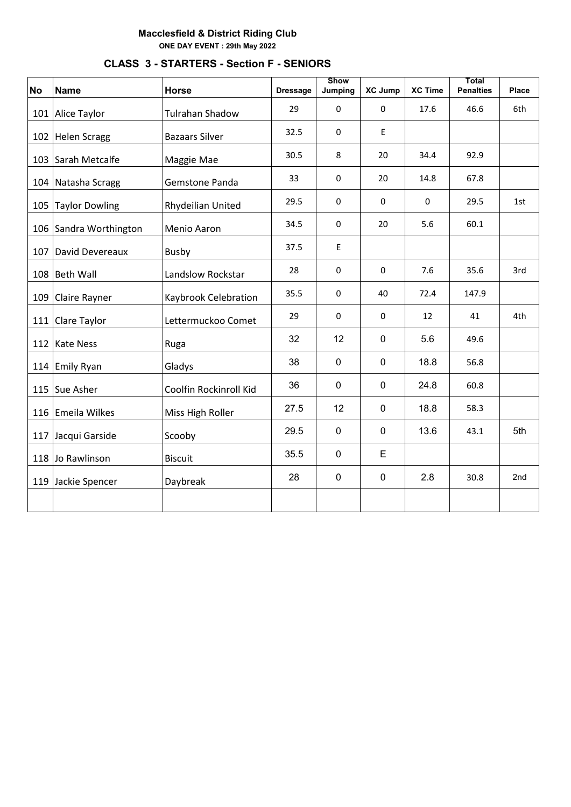| <b>No</b> | <b>Name</b>           | <b>Horse</b>           | <b>Dressage</b> | <b>Show</b><br>Jumping | <b>XC Jump</b> | <b>XC Time</b> | Total<br><b>Penalties</b> | <b>Place</b> |
|-----------|-----------------------|------------------------|-----------------|------------------------|----------------|----------------|---------------------------|--------------|
|           | 101 Alice Taylor      | <b>Tulrahan Shadow</b> | 29              | $\mathbf 0$            | 0              | 17.6           | 46.6                      | 6th          |
|           | 102 Helen Scragg      | <b>Bazaars Silver</b>  | 32.5            | $\mathbf 0$            | E              |                |                           |              |
|           | 103 Sarah Metcalfe    | Maggie Mae             | 30.5            | 8                      | 20             | 34.4           | 92.9                      |              |
|           | 104 Natasha Scragg    | Gemstone Panda         | 33              | 0                      | 20             | 14.8           | 67.8                      |              |
| 105       | <b>Taylor Dowling</b> | Rhydeilian United      | 29.5            | $\mathbf 0$            | 0              | 0              | 29.5                      | 1st          |
| 106       | Sandra Worthington    | Menio Aaron            | 34.5            | $\pmb{0}$              | 20             | 5.6            | 60.1                      |              |
| 107       | David Devereaux       | <b>Busby</b>           | 37.5            | E                      |                |                |                           |              |
| 108       | <b>Beth Wall</b>      | Landslow Rockstar      | 28              | $\Omega$               | 0              | 7.6            | 35.6                      | 3rd          |
| 109       | Claire Rayner         | Kaybrook Celebration   | 35.5            | $\pmb{0}$              | 40             | 72.4           | 147.9                     |              |
| 111       | Clare Taylor          | Lettermuckoo Comet     | 29              | 0                      | 0              | 12             | 41                        | 4th          |
|           | 112 Kate Ness         | Ruga                   | 32              | 12                     | $\mathbf 0$    | 5.6            | 49.6                      |              |
|           | 114 Emily Ryan        | Gladys                 | 38              | $\mathbf 0$            | $\mathbf 0$    | 18.8           | 56.8                      |              |
|           | 115 Sue Asher         | Coolfin Rockinroll Kid | 36              | $\pmb{0}$              | $\mathbf 0$    | 24.8           | 60.8                      |              |
|           | 116 Emeila Wilkes     | Miss High Roller       | 27.5            | 12                     | $\mathbf 0$    | 18.8           | 58.3                      |              |
|           | 117 Jacqui Garside    | Scooby                 | 29.5            | $\mathbf 0$            | 0              | 13.6           | 43.1                      | 5th          |
|           | 118 Jo Rawlinson      | <b>Biscuit</b>         | 35.5            | $\mathbf 0$            | E              |                |                           |              |
|           | 119 Jackie Spencer    | Daybreak               | 28              | $\pmb{0}$              | $\pmb{0}$      | 2.8            | 30.8                      | 2nd          |
|           |                       |                        |                 |                        |                |                |                           |              |

# **CLASS 3 - STARTERS - Section F - SENIORS**